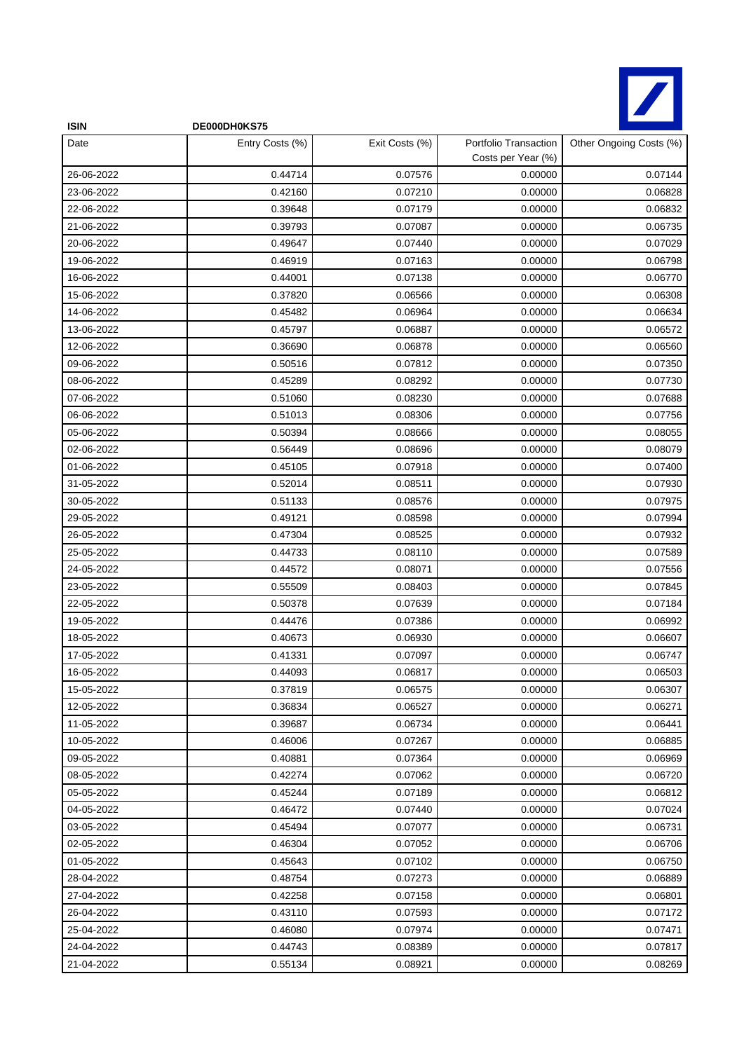

| <b>ISIN</b> | DE000DH0KS75    |                |                                             |                         |
|-------------|-----------------|----------------|---------------------------------------------|-------------------------|
| Date        | Entry Costs (%) | Exit Costs (%) | Portfolio Transaction<br>Costs per Year (%) | Other Ongoing Costs (%) |
| 26-06-2022  | 0.44714         | 0.07576        | 0.00000                                     | 0.07144                 |
| 23-06-2022  | 0.42160         | 0.07210        | 0.00000                                     | 0.06828                 |
| 22-06-2022  | 0.39648         | 0.07179        | 0.00000                                     | 0.06832                 |
| 21-06-2022  | 0.39793         | 0.07087        | 0.00000                                     | 0.06735                 |
| 20-06-2022  | 0.49647         | 0.07440        | 0.00000                                     | 0.07029                 |
| 19-06-2022  | 0.46919         | 0.07163        | 0.00000                                     | 0.06798                 |
| 16-06-2022  | 0.44001         | 0.07138        | 0.00000                                     | 0.06770                 |
| 15-06-2022  | 0.37820         | 0.06566        | 0.00000                                     | 0.06308                 |
| 14-06-2022  | 0.45482         | 0.06964        | 0.00000                                     | 0.06634                 |
| 13-06-2022  | 0.45797         | 0.06887        | 0.00000                                     | 0.06572                 |
| 12-06-2022  | 0.36690         | 0.06878        | 0.00000                                     | 0.06560                 |
| 09-06-2022  | 0.50516         | 0.07812        | 0.00000                                     | 0.07350                 |
| 08-06-2022  | 0.45289         | 0.08292        | 0.00000                                     | 0.07730                 |
| 07-06-2022  | 0.51060         | 0.08230        | 0.00000                                     | 0.07688                 |
| 06-06-2022  | 0.51013         | 0.08306        | 0.00000                                     | 0.07756                 |
| 05-06-2022  | 0.50394         | 0.08666        | 0.00000                                     | 0.08055                 |
| 02-06-2022  | 0.56449         | 0.08696        | 0.00000                                     | 0.08079                 |
| 01-06-2022  | 0.45105         | 0.07918        | 0.00000                                     | 0.07400                 |
| 31-05-2022  | 0.52014         | 0.08511        | 0.00000                                     | 0.07930                 |
| 30-05-2022  | 0.51133         | 0.08576        | 0.00000                                     | 0.07975                 |
| 29-05-2022  | 0.49121         | 0.08598        | 0.00000                                     | 0.07994                 |
| 26-05-2022  | 0.47304         | 0.08525        | 0.00000                                     | 0.07932                 |
| 25-05-2022  | 0.44733         | 0.08110        | 0.00000                                     | 0.07589                 |
| 24-05-2022  | 0.44572         | 0.08071        | 0.00000                                     | 0.07556                 |
| 23-05-2022  | 0.55509         | 0.08403        | 0.00000                                     | 0.07845                 |
| 22-05-2022  | 0.50378         | 0.07639        | 0.00000                                     | 0.07184                 |
| 19-05-2022  | 0.44476         | 0.07386        | 0.00000                                     | 0.06992                 |
| 18-05-2022  | 0.40673         | 0.06930        | 0.00000                                     | 0.06607                 |
| 17-05-2022  | 0.41331         | 0.07097        | 0.00000                                     | 0.06747                 |
| 16-05-2022  | 0.44093         | 0.06817        | 0.00000                                     | 0.06503                 |
| 15-05-2022  | 0.37819         | 0.06575        | 0.00000                                     | 0.06307                 |
| 12-05-2022  | 0.36834         | 0.06527        | 0.00000                                     | 0.06271                 |
| 11-05-2022  | 0.39687         | 0.06734        | 0.00000                                     | 0.06441                 |
| 10-05-2022  | 0.46006         | 0.07267        | 0.00000                                     | 0.06885                 |
| 09-05-2022  | 0.40881         | 0.07364        | 0.00000                                     | 0.06969                 |
| 08-05-2022  | 0.42274         | 0.07062        | 0.00000                                     | 0.06720                 |
| 05-05-2022  | 0.45244         | 0.07189        | 0.00000                                     | 0.06812                 |
| 04-05-2022  | 0.46472         | 0.07440        | 0.00000                                     | 0.07024                 |
| 03-05-2022  | 0.45494         | 0.07077        | 0.00000                                     | 0.06731                 |
| 02-05-2022  | 0.46304         | 0.07052        | 0.00000                                     | 0.06706                 |
| 01-05-2022  | 0.45643         | 0.07102        | 0.00000                                     | 0.06750                 |
| 28-04-2022  | 0.48754         | 0.07273        | 0.00000                                     | 0.06889                 |
| 27-04-2022  | 0.42258         | 0.07158        | 0.00000                                     | 0.06801                 |
| 26-04-2022  | 0.43110         | 0.07593        | 0.00000                                     | 0.07172                 |
| 25-04-2022  | 0.46080         | 0.07974        | 0.00000                                     | 0.07471                 |
| 24-04-2022  | 0.44743         | 0.08389        | 0.00000                                     | 0.07817                 |
| 21-04-2022  | 0.55134         | 0.08921        | 0.00000                                     | 0.08269                 |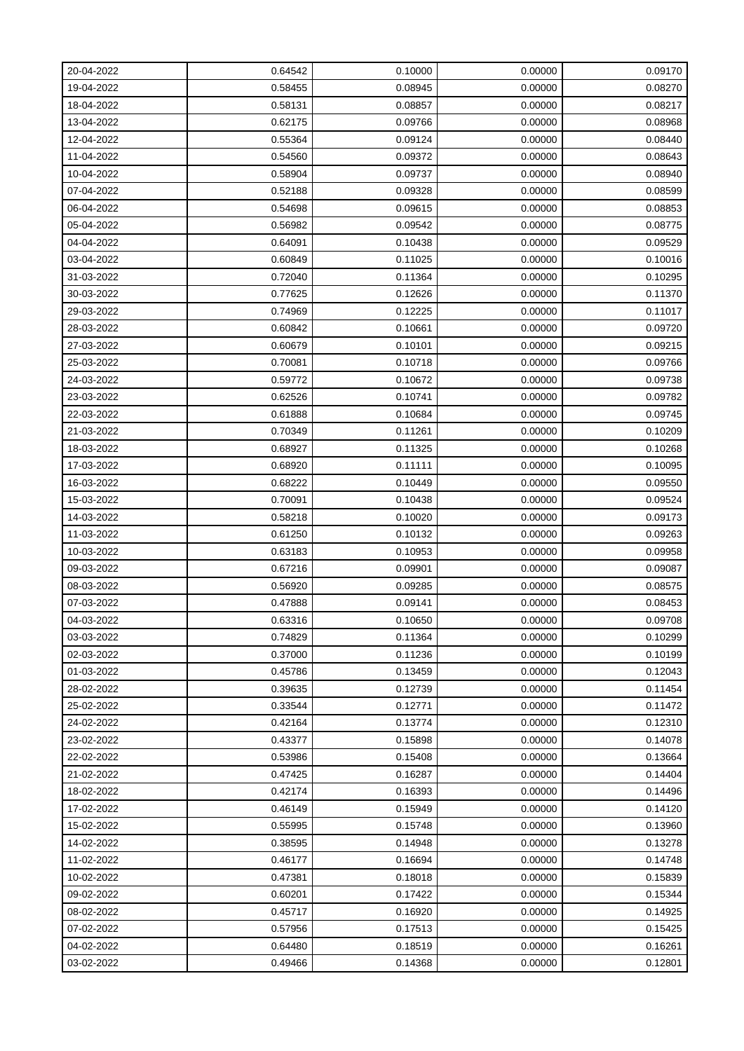| 20-04-2022 | 0.64542 | 0.10000 | 0.00000 | 0.09170 |
|------------|---------|---------|---------|---------|
| 19-04-2022 | 0.58455 | 0.08945 | 0.00000 | 0.08270 |
| 18-04-2022 | 0.58131 | 0.08857 | 0.00000 | 0.08217 |
| 13-04-2022 | 0.62175 | 0.09766 | 0.00000 | 0.08968 |
| 12-04-2022 | 0.55364 | 0.09124 | 0.00000 | 0.08440 |
| 11-04-2022 | 0.54560 | 0.09372 | 0.00000 | 0.08643 |
| 10-04-2022 | 0.58904 | 0.09737 | 0.00000 | 0.08940 |
| 07-04-2022 | 0.52188 | 0.09328 | 0.00000 | 0.08599 |
| 06-04-2022 | 0.54698 | 0.09615 | 0.00000 | 0.08853 |
| 05-04-2022 | 0.56982 | 0.09542 | 0.00000 | 0.08775 |
| 04-04-2022 | 0.64091 | 0.10438 | 0.00000 | 0.09529 |
| 03-04-2022 | 0.60849 | 0.11025 | 0.00000 | 0.10016 |
| 31-03-2022 | 0.72040 | 0.11364 | 0.00000 | 0.10295 |
| 30-03-2022 | 0.77625 | 0.12626 | 0.00000 | 0.11370 |
| 29-03-2022 | 0.74969 | 0.12225 | 0.00000 | 0.11017 |
| 28-03-2022 | 0.60842 | 0.10661 | 0.00000 | 0.09720 |
| 27-03-2022 | 0.60679 | 0.10101 | 0.00000 | 0.09215 |
| 25-03-2022 | 0.70081 | 0.10718 | 0.00000 | 0.09766 |
| 24-03-2022 | 0.59772 | 0.10672 | 0.00000 | 0.09738 |
| 23-03-2022 | 0.62526 | 0.10741 | 0.00000 | 0.09782 |
| 22-03-2022 | 0.61888 | 0.10684 | 0.00000 | 0.09745 |
| 21-03-2022 | 0.70349 | 0.11261 | 0.00000 | 0.10209 |
| 18-03-2022 | 0.68927 | 0.11325 | 0.00000 | 0.10268 |
| 17-03-2022 | 0.68920 | 0.11111 | 0.00000 | 0.10095 |
| 16-03-2022 | 0.68222 | 0.10449 | 0.00000 | 0.09550 |
| 15-03-2022 | 0.70091 | 0.10438 | 0.00000 | 0.09524 |
| 14-03-2022 | 0.58218 | 0.10020 | 0.00000 | 0.09173 |
| 11-03-2022 | 0.61250 | 0.10132 | 0.00000 | 0.09263 |
| 10-03-2022 | 0.63183 | 0.10953 | 0.00000 | 0.09958 |
| 09-03-2022 | 0.67216 | 0.09901 | 0.00000 | 0.09087 |
| 08-03-2022 | 0.56920 | 0.09285 | 0.00000 | 0.08575 |
| 07-03-2022 | 0.47888 | 0.09141 | 0.00000 | 0.08453 |
| 04-03-2022 | 0.63316 | 0.10650 | 0.00000 | 0.09708 |
| 03-03-2022 | 0.74829 | 0.11364 | 0.00000 | 0.10299 |
| 02-03-2022 | 0.37000 | 0.11236 | 0.00000 | 0.10199 |
| 01-03-2022 | 0.45786 | 0.13459 | 0.00000 | 0.12043 |
| 28-02-2022 | 0.39635 | 0.12739 | 0.00000 | 0.11454 |
| 25-02-2022 | 0.33544 | 0.12771 | 0.00000 | 0.11472 |
| 24-02-2022 | 0.42164 | 0.13774 | 0.00000 | 0.12310 |
| 23-02-2022 | 0.43377 | 0.15898 | 0.00000 | 0.14078 |
| 22-02-2022 | 0.53986 | 0.15408 | 0.00000 | 0.13664 |
| 21-02-2022 | 0.47425 | 0.16287 | 0.00000 | 0.14404 |
| 18-02-2022 | 0.42174 | 0.16393 | 0.00000 | 0.14496 |
| 17-02-2022 | 0.46149 | 0.15949 | 0.00000 | 0.14120 |
| 15-02-2022 | 0.55995 | 0.15748 | 0.00000 | 0.13960 |
| 14-02-2022 | 0.38595 | 0.14948 | 0.00000 | 0.13278 |
| 11-02-2022 | 0.46177 | 0.16694 | 0.00000 | 0.14748 |
| 10-02-2022 | 0.47381 | 0.18018 | 0.00000 | 0.15839 |
| 09-02-2022 | 0.60201 | 0.17422 | 0.00000 | 0.15344 |
| 08-02-2022 | 0.45717 | 0.16920 | 0.00000 | 0.14925 |
| 07-02-2022 | 0.57956 | 0.17513 | 0.00000 | 0.15425 |
| 04-02-2022 | 0.64480 | 0.18519 | 0.00000 | 0.16261 |
| 03-02-2022 | 0.49466 | 0.14368 | 0.00000 | 0.12801 |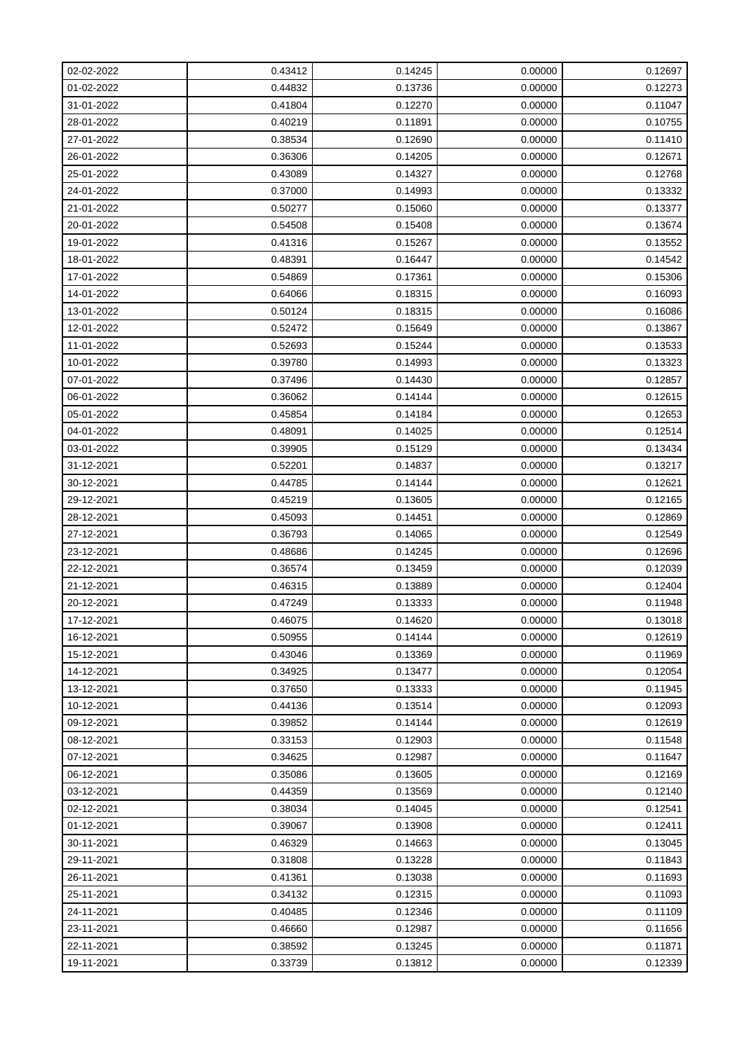| 02-02-2022 | 0.43412 | 0.14245 | 0.00000 | 0.12697 |
|------------|---------|---------|---------|---------|
| 01-02-2022 | 0.44832 | 0.13736 | 0.00000 | 0.12273 |
| 31-01-2022 | 0.41804 | 0.12270 | 0.00000 | 0.11047 |
| 28-01-2022 | 0.40219 | 0.11891 | 0.00000 | 0.10755 |
| 27-01-2022 | 0.38534 | 0.12690 | 0.00000 | 0.11410 |
| 26-01-2022 | 0.36306 | 0.14205 | 0.00000 | 0.12671 |
| 25-01-2022 | 0.43089 | 0.14327 | 0.00000 | 0.12768 |
| 24-01-2022 | 0.37000 | 0.14993 | 0.00000 | 0.13332 |
| 21-01-2022 | 0.50277 | 0.15060 | 0.00000 | 0.13377 |
| 20-01-2022 | 0.54508 | 0.15408 | 0.00000 | 0.13674 |
| 19-01-2022 | 0.41316 | 0.15267 | 0.00000 | 0.13552 |
| 18-01-2022 | 0.48391 | 0.16447 | 0.00000 | 0.14542 |
| 17-01-2022 | 0.54869 | 0.17361 | 0.00000 | 0.15306 |
| 14-01-2022 | 0.64066 | 0.18315 | 0.00000 | 0.16093 |
| 13-01-2022 | 0.50124 | 0.18315 | 0.00000 | 0.16086 |
| 12-01-2022 | 0.52472 | 0.15649 | 0.00000 | 0.13867 |
| 11-01-2022 | 0.52693 | 0.15244 | 0.00000 | 0.13533 |
| 10-01-2022 | 0.39780 | 0.14993 | 0.00000 | 0.13323 |
| 07-01-2022 | 0.37496 | 0.14430 | 0.00000 | 0.12857 |
| 06-01-2022 | 0.36062 | 0.14144 | 0.00000 | 0.12615 |
| 05-01-2022 | 0.45854 | 0.14184 | 0.00000 | 0.12653 |
| 04-01-2022 | 0.48091 | 0.14025 | 0.00000 | 0.12514 |
| 03-01-2022 | 0.39905 | 0.15129 | 0.00000 | 0.13434 |
| 31-12-2021 | 0.52201 | 0.14837 | 0.00000 | 0.13217 |
| 30-12-2021 | 0.44785 | 0.14144 | 0.00000 | 0.12621 |
| 29-12-2021 | 0.45219 | 0.13605 | 0.00000 | 0.12165 |
| 28-12-2021 | 0.45093 | 0.14451 | 0.00000 | 0.12869 |
| 27-12-2021 | 0.36793 | 0.14065 | 0.00000 | 0.12549 |
| 23-12-2021 | 0.48686 | 0.14245 | 0.00000 | 0.12696 |
| 22-12-2021 | 0.36574 | 0.13459 | 0.00000 | 0.12039 |
| 21-12-2021 | 0.46315 | 0.13889 | 0.00000 | 0.12404 |
| 20-12-2021 | 0.47249 | 0.13333 | 0.00000 | 0.11948 |
| 17-12-2021 | 0.46075 | 0.14620 | 0.00000 | 0.13018 |
| 16-12-2021 | 0.50955 | 0.14144 | 0.00000 | 0.12619 |
| 15-12-2021 | 0.43046 | 0.13369 | 0.00000 | 0.11969 |
| 14-12-2021 | 0.34925 | 0.13477 | 0.00000 | 0.12054 |
| 13-12-2021 | 0.37650 | 0.13333 | 0.00000 | 0.11945 |
| 10-12-2021 | 0.44136 | 0.13514 | 0.00000 | 0.12093 |
| 09-12-2021 | 0.39852 | 0.14144 | 0.00000 | 0.12619 |
| 08-12-2021 | 0.33153 | 0.12903 | 0.00000 | 0.11548 |
| 07-12-2021 | 0.34625 | 0.12987 | 0.00000 | 0.11647 |
| 06-12-2021 | 0.35086 | 0.13605 | 0.00000 | 0.12169 |
| 03-12-2021 | 0.44359 | 0.13569 | 0.00000 | 0.12140 |
| 02-12-2021 | 0.38034 | 0.14045 | 0.00000 | 0.12541 |
| 01-12-2021 | 0.39067 | 0.13908 | 0.00000 | 0.12411 |
| 30-11-2021 | 0.46329 | 0.14663 | 0.00000 | 0.13045 |
| 29-11-2021 | 0.31808 | 0.13228 | 0.00000 | 0.11843 |
| 26-11-2021 | 0.41361 | 0.13038 | 0.00000 | 0.11693 |
| 25-11-2021 | 0.34132 | 0.12315 | 0.00000 | 0.11093 |
| 24-11-2021 | 0.40485 | 0.12346 | 0.00000 | 0.11109 |
| 23-11-2021 | 0.46660 | 0.12987 | 0.00000 | 0.11656 |
| 22-11-2021 | 0.38592 | 0.13245 | 0.00000 | 0.11871 |
| 19-11-2021 | 0.33739 | 0.13812 | 0.00000 | 0.12339 |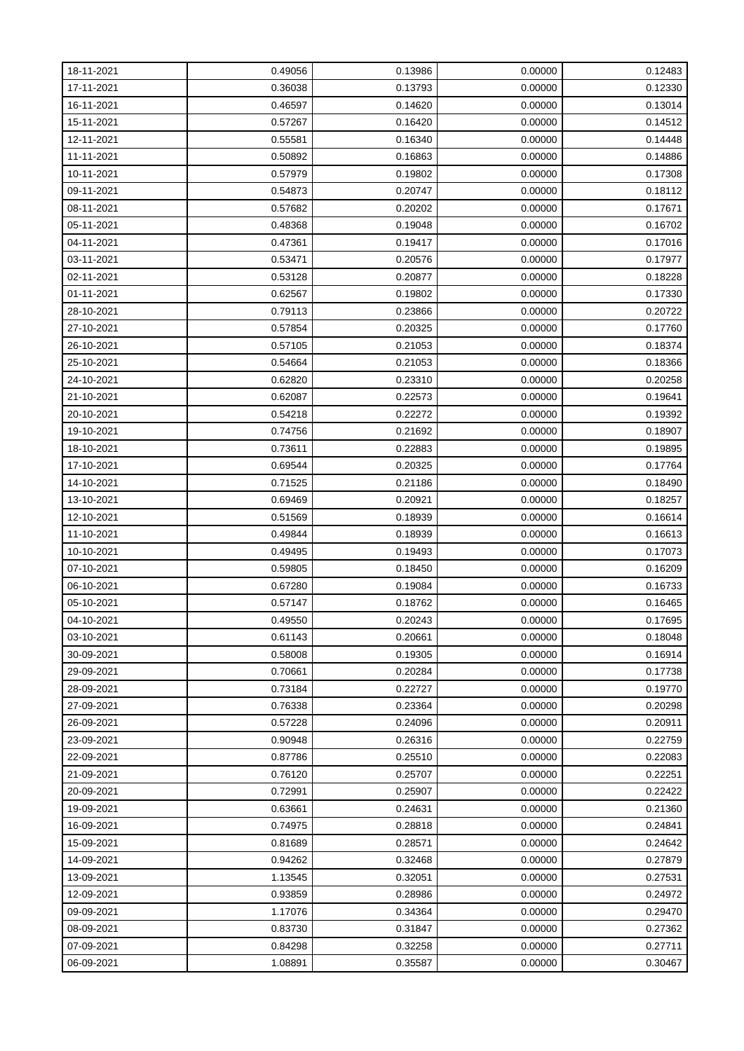| 18-11-2021 | 0.49056 | 0.13986 | 0.00000 | 0.12483 |
|------------|---------|---------|---------|---------|
| 17-11-2021 | 0.36038 | 0.13793 | 0.00000 | 0.12330 |
| 16-11-2021 | 0.46597 | 0.14620 | 0.00000 | 0.13014 |
| 15-11-2021 | 0.57267 | 0.16420 | 0.00000 | 0.14512 |
| 12-11-2021 | 0.55581 | 0.16340 | 0.00000 | 0.14448 |
| 11-11-2021 | 0.50892 | 0.16863 | 0.00000 | 0.14886 |
| 10-11-2021 | 0.57979 | 0.19802 | 0.00000 | 0.17308 |
| 09-11-2021 | 0.54873 | 0.20747 | 0.00000 | 0.18112 |
| 08-11-2021 | 0.57682 | 0.20202 | 0.00000 | 0.17671 |
| 05-11-2021 | 0.48368 | 0.19048 | 0.00000 | 0.16702 |
| 04-11-2021 | 0.47361 | 0.19417 | 0.00000 | 0.17016 |
| 03-11-2021 | 0.53471 | 0.20576 | 0.00000 | 0.17977 |
| 02-11-2021 | 0.53128 | 0.20877 | 0.00000 | 0.18228 |
| 01-11-2021 | 0.62567 | 0.19802 | 0.00000 | 0.17330 |
| 28-10-2021 | 0.79113 | 0.23866 | 0.00000 | 0.20722 |
| 27-10-2021 | 0.57854 | 0.20325 | 0.00000 | 0.17760 |
| 26-10-2021 | 0.57105 | 0.21053 | 0.00000 | 0.18374 |
| 25-10-2021 | 0.54664 | 0.21053 | 0.00000 | 0.18366 |
| 24-10-2021 | 0.62820 | 0.23310 | 0.00000 | 0.20258 |
| 21-10-2021 | 0.62087 | 0.22573 | 0.00000 | 0.19641 |
| 20-10-2021 | 0.54218 | 0.22272 | 0.00000 | 0.19392 |
| 19-10-2021 | 0.74756 | 0.21692 | 0.00000 | 0.18907 |
| 18-10-2021 | 0.73611 | 0.22883 | 0.00000 | 0.19895 |
| 17-10-2021 | 0.69544 | 0.20325 | 0.00000 | 0.17764 |
| 14-10-2021 | 0.71525 | 0.21186 | 0.00000 | 0.18490 |
| 13-10-2021 | 0.69469 | 0.20921 | 0.00000 | 0.18257 |
| 12-10-2021 | 0.51569 | 0.18939 | 0.00000 | 0.16614 |
| 11-10-2021 | 0.49844 | 0.18939 | 0.00000 | 0.16613 |
| 10-10-2021 | 0.49495 | 0.19493 | 0.00000 | 0.17073 |
| 07-10-2021 | 0.59805 | 0.18450 | 0.00000 | 0.16209 |
| 06-10-2021 | 0.67280 | 0.19084 | 0.00000 | 0.16733 |
| 05-10-2021 | 0.57147 | 0.18762 | 0.00000 | 0.16465 |
| 04-10-2021 | 0.49550 | 0.20243 | 0.00000 | 0.17695 |
| 03-10-2021 | 0.61143 | 0.20661 | 0.00000 | 0.18048 |
| 30-09-2021 | 0.58008 | 0.19305 | 0.00000 | 0.16914 |
| 29-09-2021 | 0.70661 | 0.20284 | 0.00000 | 0.17738 |
| 28-09-2021 | 0.73184 | 0.22727 | 0.00000 | 0.19770 |
| 27-09-2021 | 0.76338 | 0.23364 | 0.00000 | 0.20298 |
| 26-09-2021 | 0.57228 | 0.24096 | 0.00000 | 0.20911 |
| 23-09-2021 | 0.90948 | 0.26316 | 0.00000 | 0.22759 |
| 22-09-2021 | 0.87786 | 0.25510 | 0.00000 | 0.22083 |
| 21-09-2021 | 0.76120 | 0.25707 | 0.00000 | 0.22251 |
| 20-09-2021 | 0.72991 | 0.25907 | 0.00000 | 0.22422 |
| 19-09-2021 | 0.63661 | 0.24631 | 0.00000 | 0.21360 |
| 16-09-2021 | 0.74975 | 0.28818 | 0.00000 | 0.24841 |
| 15-09-2021 | 0.81689 | 0.28571 | 0.00000 | 0.24642 |
| 14-09-2021 | 0.94262 | 0.32468 | 0.00000 | 0.27879 |
| 13-09-2021 | 1.13545 | 0.32051 | 0.00000 | 0.27531 |
| 12-09-2021 | 0.93859 | 0.28986 | 0.00000 | 0.24972 |
| 09-09-2021 | 1.17076 | 0.34364 | 0.00000 | 0.29470 |
| 08-09-2021 | 0.83730 | 0.31847 | 0.00000 | 0.27362 |
| 07-09-2021 | 0.84298 | 0.32258 | 0.00000 | 0.27711 |
| 06-09-2021 | 1.08891 | 0.35587 | 0.00000 | 0.30467 |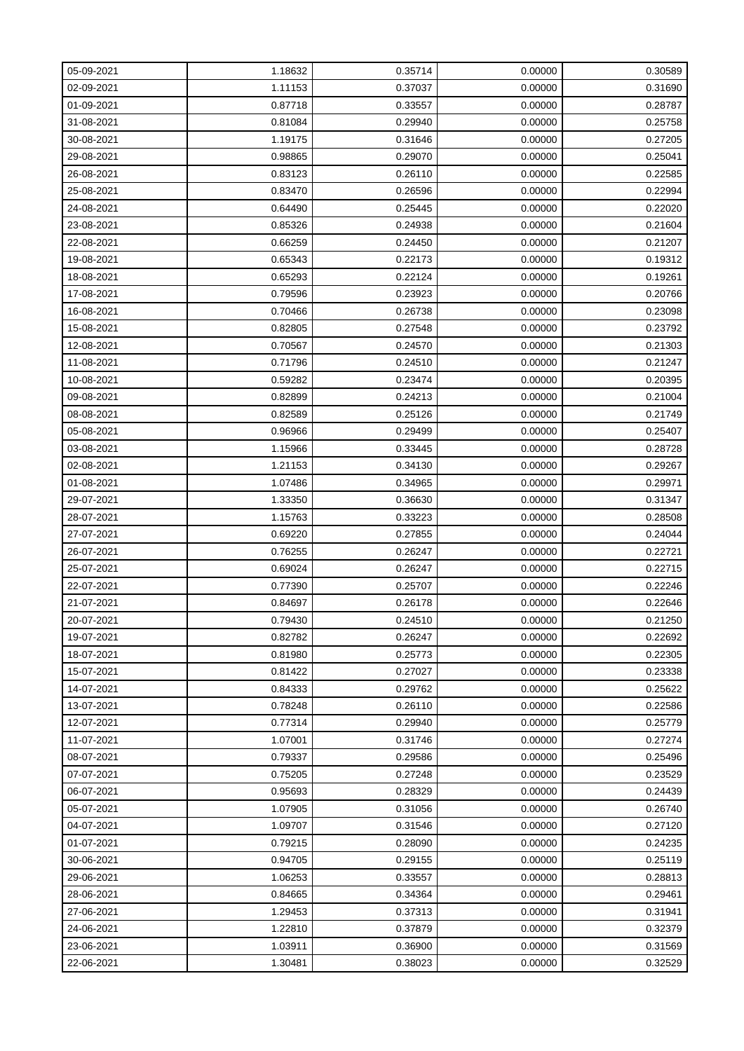| 05-09-2021 | 1.18632 | 0.35714 | 0.00000 | 0.30589 |
|------------|---------|---------|---------|---------|
| 02-09-2021 | 1.11153 | 0.37037 | 0.00000 | 0.31690 |
| 01-09-2021 | 0.87718 | 0.33557 | 0.00000 | 0.28787 |
| 31-08-2021 | 0.81084 | 0.29940 | 0.00000 | 0.25758 |
| 30-08-2021 | 1.19175 | 0.31646 | 0.00000 | 0.27205 |
| 29-08-2021 | 0.98865 | 0.29070 | 0.00000 | 0.25041 |
| 26-08-2021 | 0.83123 | 0.26110 | 0.00000 | 0.22585 |
| 25-08-2021 | 0.83470 | 0.26596 | 0.00000 | 0.22994 |
| 24-08-2021 | 0.64490 | 0.25445 | 0.00000 | 0.22020 |
| 23-08-2021 | 0.85326 | 0.24938 | 0.00000 | 0.21604 |
| 22-08-2021 | 0.66259 | 0.24450 | 0.00000 | 0.21207 |
| 19-08-2021 | 0.65343 | 0.22173 | 0.00000 | 0.19312 |
| 18-08-2021 | 0.65293 | 0.22124 | 0.00000 | 0.19261 |
| 17-08-2021 | 0.79596 | 0.23923 | 0.00000 | 0.20766 |
| 16-08-2021 | 0.70466 | 0.26738 | 0.00000 | 0.23098 |
| 15-08-2021 | 0.82805 | 0.27548 | 0.00000 | 0.23792 |
| 12-08-2021 | 0.70567 | 0.24570 | 0.00000 | 0.21303 |
| 11-08-2021 | 0.71796 | 0.24510 | 0.00000 | 0.21247 |
| 10-08-2021 | 0.59282 | 0.23474 | 0.00000 | 0.20395 |
| 09-08-2021 | 0.82899 | 0.24213 | 0.00000 | 0.21004 |
| 08-08-2021 | 0.82589 | 0.25126 | 0.00000 | 0.21749 |
| 05-08-2021 | 0.96966 | 0.29499 | 0.00000 | 0.25407 |
| 03-08-2021 | 1.15966 | 0.33445 | 0.00000 | 0.28728 |
| 02-08-2021 | 1.21153 | 0.34130 | 0.00000 | 0.29267 |
| 01-08-2021 | 1.07486 | 0.34965 | 0.00000 | 0.29971 |
| 29-07-2021 | 1.33350 | 0.36630 | 0.00000 | 0.31347 |
| 28-07-2021 | 1.15763 | 0.33223 | 0.00000 | 0.28508 |
| 27-07-2021 | 0.69220 | 0.27855 | 0.00000 | 0.24044 |
| 26-07-2021 | 0.76255 | 0.26247 | 0.00000 | 0.22721 |
| 25-07-2021 | 0.69024 | 0.26247 | 0.00000 | 0.22715 |
| 22-07-2021 | 0.77390 | 0.25707 | 0.00000 | 0.22246 |
| 21-07-2021 | 0.84697 | 0.26178 | 0.00000 | 0.22646 |
| 20-07-2021 | 0.79430 | 0.24510 | 0.00000 | 0.21250 |
| 19-07-2021 | 0.82782 | 0.26247 | 0.00000 | 0.22692 |
| 18-07-2021 | 0.81980 | 0.25773 | 0.00000 | 0.22305 |
| 15-07-2021 | 0.81422 | 0.27027 | 0.00000 | 0.23338 |
| 14-07-2021 | 0.84333 | 0.29762 | 0.00000 | 0.25622 |
| 13-07-2021 | 0.78248 | 0.26110 | 0.00000 | 0.22586 |
| 12-07-2021 | 0.77314 | 0.29940 | 0.00000 | 0.25779 |
| 11-07-2021 | 1.07001 | 0.31746 | 0.00000 | 0.27274 |
| 08-07-2021 | 0.79337 | 0.29586 | 0.00000 | 0.25496 |
| 07-07-2021 | 0.75205 | 0.27248 | 0.00000 | 0.23529 |
| 06-07-2021 | 0.95693 | 0.28329 | 0.00000 | 0.24439 |
| 05-07-2021 | 1.07905 | 0.31056 | 0.00000 | 0.26740 |
| 04-07-2021 | 1.09707 | 0.31546 | 0.00000 | 0.27120 |
| 01-07-2021 | 0.79215 | 0.28090 | 0.00000 | 0.24235 |
| 30-06-2021 | 0.94705 | 0.29155 | 0.00000 | 0.25119 |
| 29-06-2021 | 1.06253 | 0.33557 | 0.00000 | 0.28813 |
| 28-06-2021 | 0.84665 | 0.34364 | 0.00000 | 0.29461 |
| 27-06-2021 | 1.29453 | 0.37313 | 0.00000 | 0.31941 |
| 24-06-2021 | 1.22810 | 0.37879 | 0.00000 | 0.32379 |
| 23-06-2021 | 1.03911 | 0.36900 | 0.00000 | 0.31569 |
| 22-06-2021 | 1.30481 | 0.38023 | 0.00000 | 0.32529 |